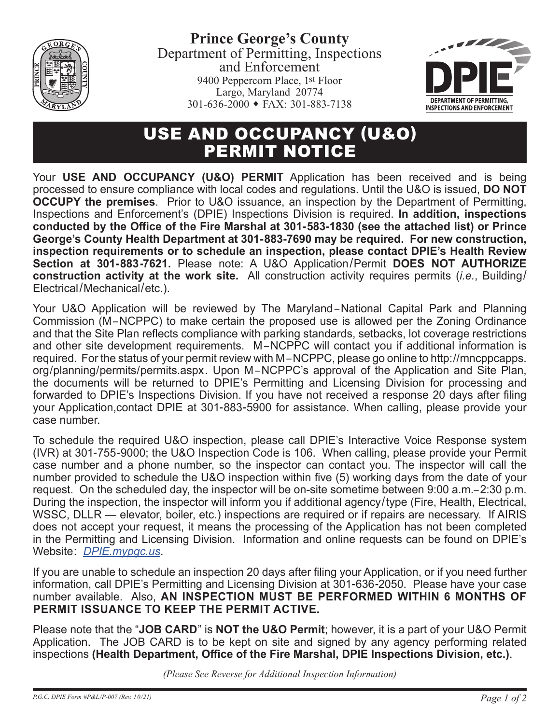

**Prince George's County** Department of Permitting, Inspections and Enforcement 9400 Peppercorn Place, 1st Floor Largo, Maryland 20774  $301-636-2000$  • FAX: 301-883-7138



## USE AND OCCUPANCY (U&O) PERMIT NOTICE

Your **USE AND OCCUPANCY (U&O) PERMIT** Application has been received and is being processed to ensure compliance with local codes and regulations. Until the U&O is issued, **DO NOT OCCUPY the premises**. Prior to U&O issuance, an inspection by the Department of Permitting, Inspections and Enforcement's (DPIE) Inspections Division is required. **In addition, inspections conducted by the Office of the Fire Marshal at 301-583-1830 (see the attached list) or Prince George's County Health Department at 301-883-7690 may be required. For new construction, inspection requirements or to schedule an inspection, please contact DPIE's Health Review Section at 301-883-7621.** Please note: A U&O Application/Permit **DOES NOT AUTHORIZE construction activity at the work site.** All construction activity requires permits (*i.e.*, Building/ Electrical/Mechanical/etc.).

Your U&O Application will be reviewed by The Maryland–National Capital Park and Planning Commission (M–NCPPC) to make certain the proposed use is allowed per the Zoning Ordinance and that the Site Plan reflects compliance with parking standards, setbacks, lot coverage restrictions and other site development requirements. M –NCPPC will contact you if additional information is required. For the status of your permit review with M–NCPPC, please go online to http://mncppcapps. org/planning/permits/permits.aspx. Upon M –NCPPC's approval of the Application and Site Plan, the documents will be returned to DPIE's Permitting and Licensing Division for processing and forwarded to DPIE's Inspections Division. If you have not received a response 20 days after filing your Application,contact DPIE at 301-883-5900 for assistance. When calling, please provide your case number.

To schedule the required U&O inspection, please call DPIE's Interactive Voice Response system (IVR) at 301-755-9000; the U&O Inspection Code is 106. When calling, please provide your Permit case number and a phone number, so the inspector can contact you. The inspector will call the number provided to schedule the U&O inspection within five (5) working days from the date of your request. On the scheduled day, the inspector will be on-site sometime between 9:00 a.m.– 2:30 p.m. During the inspection, the inspector will inform you if additional agency/type (Fire, Health, Electrical, WSSC, DLLR — elevator, boiler, etc.) inspections are required or if repairs are necessary. If AIRIS does not accept your request, it means the processing of the Application has not been completed in the Permitting and Licensing Division. Information and online requests can be found on DPIE's Website: *[DPIE.mypgc.us](https://www.princegeorgescountymd.gov/1024/Permitting-Inspections-and-Enforcement)*.

If you are unable to schedule an inspection 20 days after filing your Application, or if you need further information, call DPIE's Permitting and Licensing Division at 301-636-2050. Please have your case number available. Also, **AN INSPECTION MUST BE PERFORMED WITHIN 6 MONTHS OF PERMIT ISSUANCE TO KEEP THE PERMIT ACTIVE.**

Please note that the "**JOB CARD**" is **NOT the U&O Permit**; however, it is a part of your U&O Permit Application. The JOB CARD is to be kept on site and signed by any agency performing related inspections **(Health Department, Office of the Fire Marshal, DPIE Inspections Division, etc.)**.

*(Please See Reverse for Additional Inspection Information)*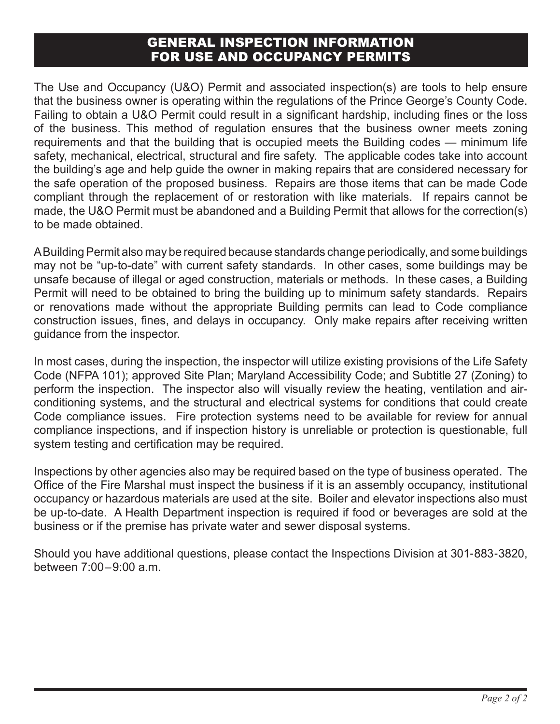## GENERAL INSPECTION INFORMATION FOR USE AND OCCUPANCY PERMITS

The Use and Occupancy (U&O) Permit and associated inspection(s) are tools to help ensure that the business owner is operating within the regulations of the Prince George's County Code. Failing to obtain a U&O Permit could result in a significant hardship, including fines or the loss of the business. This method of regulation ensures that the business owner meets zoning requirements and that the building that is occupied meets the Building codes — minimum life safety, mechanical, electrical, structural and fire safety. The applicable codes take into account the building's age and help guide the owner in making repairs that are considered necessary for the safe operation of the proposed business. Repairs are those items that can be made Code compliant through the replacement of or restoration with like materials. If repairs cannot be made, the U&O Permit must be abandoned and a Building Permit that allows for the correction(s) to be made obtained.

A Building Permit also may be required because standards change periodically, and some buildings may not be "up-to-date" with current safety standards. In other cases, some buildings may be unsafe because of illegal or aged construction, materials or methods. In these cases, a Building Permit will need to be obtained to bring the building up to minimum safety standards. Repairs or renovations made without the appropriate Building permits can lead to Code compliance construction issues, fines, and delays in occupancy. Only make repairs after receiving written guidance from the inspector.

In most cases, during the inspection, the inspector will utilize existing provisions of the Life Safety Code (NFPA 101); approved Site Plan; Maryland Accessibility Code; and Subtitle 27 (Zoning) to perform the inspection. The inspector also will visually review the heating, ventilation and airconditioning systems, and the structural and electrical systems for conditions that could create Code compliance issues. Fire protection systems need to be available for review for annual compliance inspections, and if inspection history is unreliable or protection is questionable, full system testing and certification may be required.

Inspections by other agencies also may be required based on the type of business operated. The Office of the Fire Marshal must inspect the business if it is an assembly occupancy, institutional occupancy or hazardous materials are used at the site. Boiler and elevator inspections also must be up-to-date. A Health Department inspection is required if food or beverages are sold at the business or if the premise has private water and sewer disposal systems.

Should you have additional questions, please contact the Inspections Division at 301-883-3820, between 7:00–9:00 a.m.